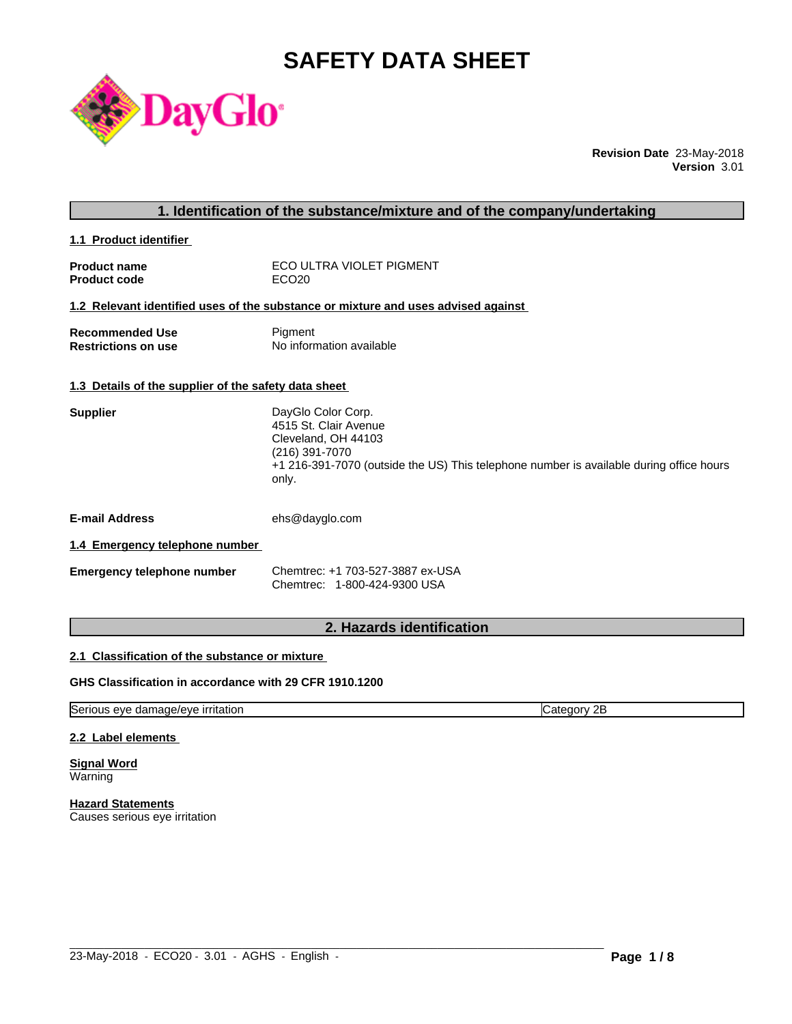# **SAFETY DATA SHEET**



**Revision Date** 23-May-2018 **Version** 3.01

| 1. Identification of the substance/mixture and of the company/undertaking $\angle$ |  |
|------------------------------------------------------------------------------------|--|
|                                                                                    |  |

**1.1 Product identifier** 

| <b>Product name</b> | ECO ULTRA VIOLET PIGMENT |
|---------------------|--------------------------|
| <b>Product code</b> | ECO <sub>20</sub>        |

# **1.2 Relevant identified uses of the substance or mixture and uses advised against**

| <b>Recommended Use</b>     | Pigment                  |
|----------------------------|--------------------------|
| <b>Restrictions on use</b> | No information available |

# **1.3 Details of the supplier of the safety data sheet**

| <b>Supplier</b> | DayGlo Color Corp.                                                                      |
|-----------------|-----------------------------------------------------------------------------------------|
|                 | 4515 St. Clair Avenue                                                                   |
|                 | Cleveland, OH 44103                                                                     |
|                 | (216) 391-7070                                                                          |
|                 | +1 216-391-7070 (outside the US) This telephone number is available during office hours |
|                 | only.                                                                                   |

**E-mail Address** ehs@dayglo.com

#### **1.4 Emergency telephone number**

| <b>Emergency telephone number</b> | Chemtrec: +1 703-527-3887 ex-USA |
|-----------------------------------|----------------------------------|
|                                   | Chemtrec: 1-800-424-9300 USA     |

# **2. Hazards identification**

# **2.1 Classification of the substance or mixture**

# **GHS Classification in accordance with 29 CFR 1910.1200**

Serious eye damage/eye irritation Category 2B

 $\_$  ,  $\_$  ,  $\_$  ,  $\_$  ,  $\_$  ,  $\_$  ,  $\_$  ,  $\_$  ,  $\_$  ,  $\_$  ,  $\_$  ,  $\_$  ,  $\_$  ,  $\_$  ,  $\_$  ,  $\_$  ,  $\_$  ,  $\_$  ,  $\_$  ,  $\_$  ,  $\_$  ,  $\_$  ,  $\_$  ,  $\_$  ,  $\_$  ,  $\_$  ,  $\_$  ,  $\_$  ,  $\_$  ,  $\_$  ,  $\_$  ,  $\_$  ,  $\_$  ,  $\_$  ,  $\_$  ,  $\_$  ,  $\_$  ,

#### **2.2 Label elements**

**Signal Word** Warning

**Hazard Statements** Causes serious eye irritation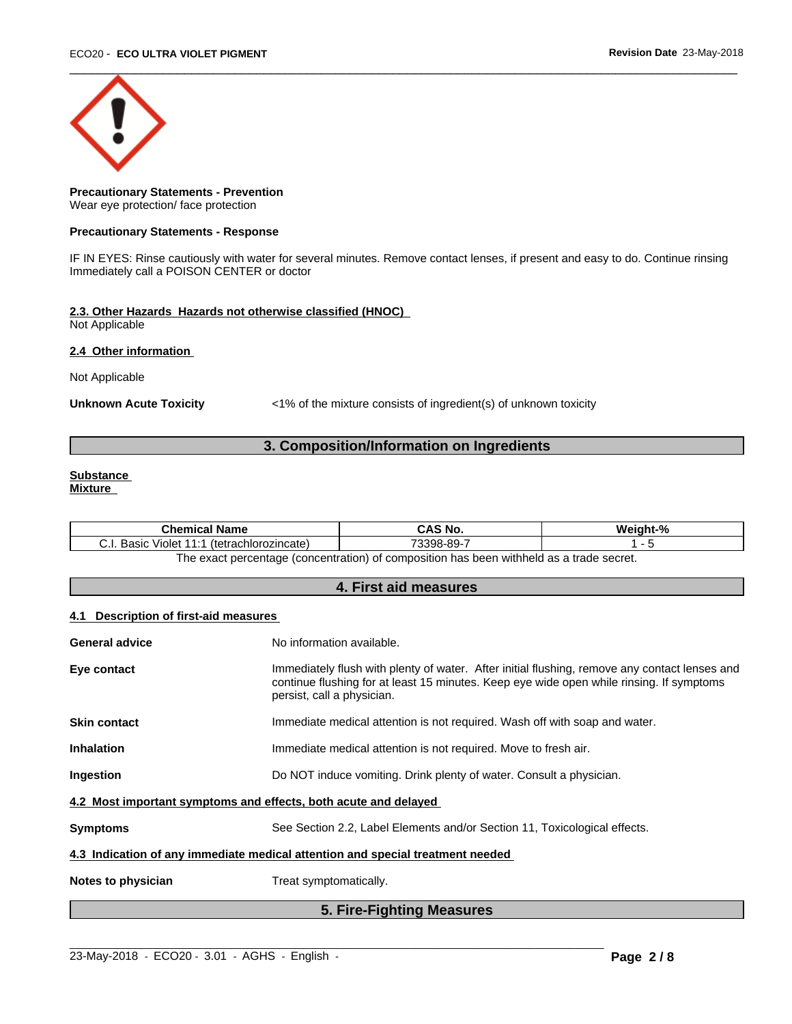

# **Precautionary Statements - Prevention** Wear eye protection/ face protection

#### **Precautionary Statements - Response**

IF IN EYES: Rinse cautiously with water for several minutes. Remove contact lenses, if present and easy to do. Continue rinsing Immediately call a POISON CENTER or doctor

# **2.3. Other Hazards Hazards not otherwise classified (HNOC)**

Not Applicable

## **2.4 Other information**

Not Applicable

Unknown Acute Toxicity **Acute Toxicity** <1% of the mixture consists of ingredient(s) of unknown toxicity

# **3. Composition/Information on Ingredients**

# **Substance**

**Mixture**

| .<br><b>Chemical Name</b>                             | <b>CAS No.</b>                                                                          | О.<br>Weight-% |
|-------------------------------------------------------|-----------------------------------------------------------------------------------------|----------------|
| (tetrachlorozincate)<br>. Basir<br>Violet<br><i>.</i> | 73398-89-7                                                                              |                |
|                                                       | The exact perceptage (concentration) of composition has been withhold as a trade coerat |                |

The exact percentage (concentration) of composition has been withheld as a trade secret.

# **4. First aid measures**

# **4.1 Description of first-aid measures**

|                       | 5. Fire-Fighting Measures                                                                                                                                                                                               |
|-----------------------|-------------------------------------------------------------------------------------------------------------------------------------------------------------------------------------------------------------------------|
| Notes to physician    | Treat symptomatically.                                                                                                                                                                                                  |
|                       | 4.3 Indication of any immediate medical attention and special treatment needed                                                                                                                                          |
| <b>Symptoms</b>       | See Section 2.2, Label Elements and/or Section 11, Toxicological effects.                                                                                                                                               |
|                       | 4.2 Most important symptoms and effects, both acute and delayed                                                                                                                                                         |
| Ingestion             | Do NOT induce vomiting. Drink plenty of water. Consult a physician.                                                                                                                                                     |
| <b>Inhalation</b>     | Immediate medical attention is not required. Move to fresh air.                                                                                                                                                         |
| <b>Skin contact</b>   | Immediate medical attention is not required. Wash off with soap and water.                                                                                                                                              |
| Eye contact           | Immediately flush with plenty of water. After initial flushing, remove any contact lenses and<br>continue flushing for at least 15 minutes. Keep eye wide open while rinsing. If symptoms<br>persist, call a physician. |
| <b>General advice</b> | No information available.                                                                                                                                                                                               |
|                       |                                                                                                                                                                                                                         |

 $\_$  ,  $\_$  ,  $\_$  ,  $\_$  ,  $\_$  ,  $\_$  ,  $\_$  ,  $\_$  ,  $\_$  ,  $\_$  ,  $\_$  ,  $\_$  ,  $\_$  ,  $\_$  ,  $\_$  ,  $\_$  ,  $\_$  ,  $\_$  ,  $\_$  ,  $\_$  ,  $\_$  ,  $\_$  ,  $\_$  ,  $\_$  ,  $\_$  ,  $\_$  ,  $\_$  ,  $\_$  ,  $\_$  ,  $\_$  ,  $\_$  ,  $\_$  ,  $\_$  ,  $\_$  ,  $\_$  ,  $\_$  ,  $\_$  ,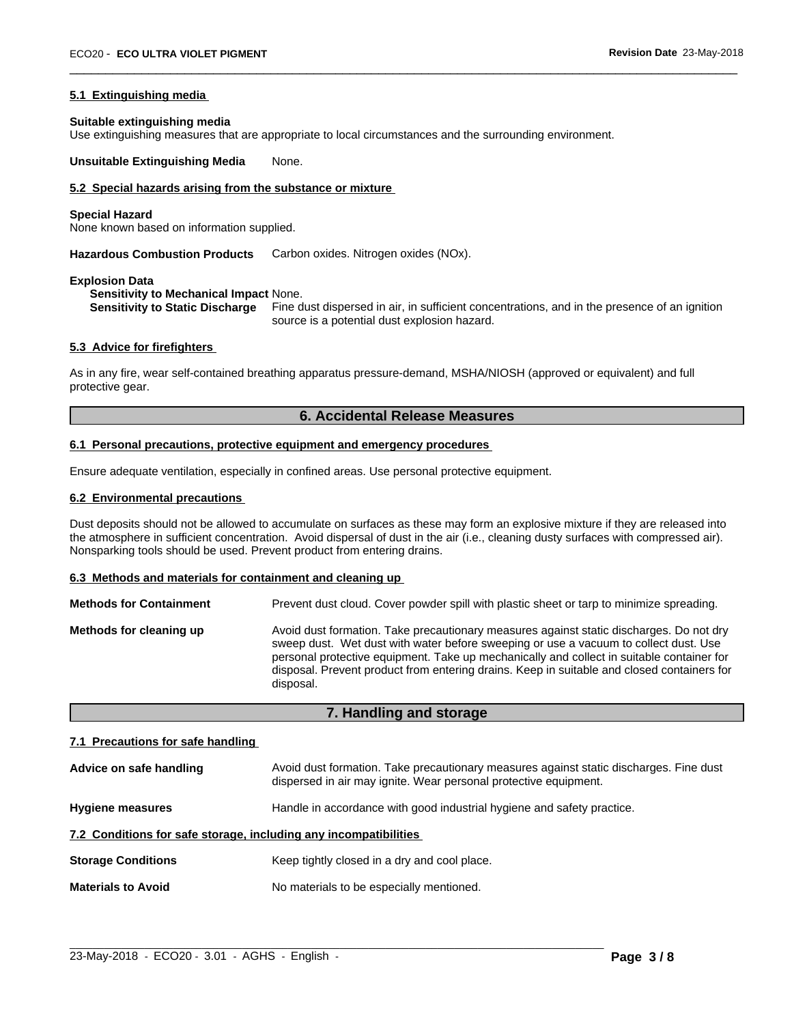#### **5.1 Extinguishing media**

#### **Suitable extinguishing media**

Use extinguishing measures that are appropriate to local circumstances and the surrounding environment.

**Unsuitable Extinguishing Media** None.

# **5.2 Special hazards arising from the substance or mixture**

#### **Special Hazard**

None known based on information supplied.

**Hazardous Combustion Products** Carbon oxides. Nitrogen oxides (NOx).

#### **Explosion Data**

**Sensitivity to Mechanical Impact** None.

**Sensitivity to Static Discharge** Fine dust dispersed in air, in sufficient concentrations, and in the presence of an ignition source is a potential dust explosion hazard.

 $\overline{\phantom{a}}$  ,  $\overline{\phantom{a}}$  ,  $\overline{\phantom{a}}$  ,  $\overline{\phantom{a}}$  ,  $\overline{\phantom{a}}$  ,  $\overline{\phantom{a}}$  ,  $\overline{\phantom{a}}$  ,  $\overline{\phantom{a}}$  ,  $\overline{\phantom{a}}$  ,  $\overline{\phantom{a}}$  ,  $\overline{\phantom{a}}$  ,  $\overline{\phantom{a}}$  ,  $\overline{\phantom{a}}$  ,  $\overline{\phantom{a}}$  ,  $\overline{\phantom{a}}$  ,  $\overline{\phantom{a}}$ 

# **5.3 Advice for firefighters**

As in any fire, wear self-contained breathing apparatus pressure-demand, MSHA/NIOSH (approved or equivalent) and full protective gear.

# **6. Accidental Release Measures**

# **6.1 Personal precautions, protective equipment and emergency procedures**

Ensure adequate ventilation, especially in confined areas. Use personal protective equipment.

# **6.2 Environmental precautions**

Dust deposits should not be allowed to accumulate on surfaces as these may form an explosive mixture if they are released into the atmosphere in sufficient concentration. Avoid dispersal of dust in the air (i.e., cleaning dusty surfaces with compressed air). Nonsparking tools should be used. Prevent product from entering drains.

#### **6.3 Methods and materials for containment and cleaning up**

| <b>Methods for Containment</b> | Prevent dust cloud. Cover powder spill with plastic sheet or tarp to minimize spreading.                                                                                                                                                                                                                                                                                                |
|--------------------------------|-----------------------------------------------------------------------------------------------------------------------------------------------------------------------------------------------------------------------------------------------------------------------------------------------------------------------------------------------------------------------------------------|
| Methods for cleaning up        | Avoid dust formation. Take precautionary measures against static discharges. Do not dry<br>sweep dust. Wet dust with water before sweeping or use a vacuum to collect dust. Use<br>personal protective equipment. Take up mechanically and collect in suitable container for<br>disposal. Prevent product from entering drains. Keep in suitable and closed containers for<br>disposal. |

**7. Handling and storage**

# **7.1 Precautions for safe handling**

| Advice on safe handling                                          | Avoid dust formation. Take precautionary measures against static discharges. Fine dust<br>dispersed in air may ignite. Wear personal protective equipment. |  |
|------------------------------------------------------------------|------------------------------------------------------------------------------------------------------------------------------------------------------------|--|
| <b>Hygiene measures</b>                                          | Handle in accordance with good industrial hygiene and safety practice.                                                                                     |  |
| 7.2 Conditions for safe storage, including any incompatibilities |                                                                                                                                                            |  |
| <b>Storage Conditions</b>                                        | Keep tightly closed in a dry and cool place.                                                                                                               |  |
| <b>Materials to Avoid</b>                                        | No materials to be especially mentioned.                                                                                                                   |  |

 $\_$  ,  $\_$  ,  $\_$  ,  $\_$  ,  $\_$  ,  $\_$  ,  $\_$  ,  $\_$  ,  $\_$  ,  $\_$  ,  $\_$  ,  $\_$  ,  $\_$  ,  $\_$  ,  $\_$  ,  $\_$  ,  $\_$  ,  $\_$  ,  $\_$  ,  $\_$  ,  $\_$  ,  $\_$  ,  $\_$  ,  $\_$  ,  $\_$  ,  $\_$  ,  $\_$  ,  $\_$  ,  $\_$  ,  $\_$  ,  $\_$  ,  $\_$  ,  $\_$  ,  $\_$  ,  $\_$  ,  $\_$  ,  $\_$  ,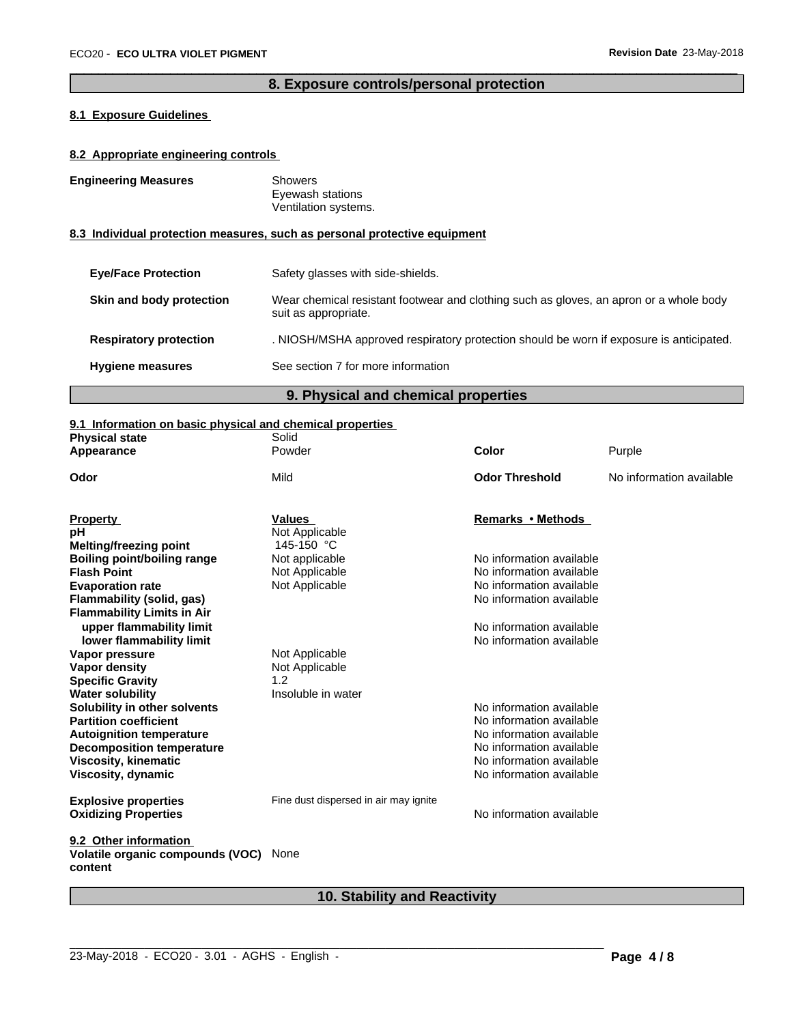# **8. Exposure controls/personal protection**

 $\overline{\phantom{a}}$  ,  $\overline{\phantom{a}}$  ,  $\overline{\phantom{a}}$  ,  $\overline{\phantom{a}}$  ,  $\overline{\phantom{a}}$  ,  $\overline{\phantom{a}}$  ,  $\overline{\phantom{a}}$  ,  $\overline{\phantom{a}}$  ,  $\overline{\phantom{a}}$  ,  $\overline{\phantom{a}}$  ,  $\overline{\phantom{a}}$  ,  $\overline{\phantom{a}}$  ,  $\overline{\phantom{a}}$  ,  $\overline{\phantom{a}}$  ,  $\overline{\phantom{a}}$  ,  $\overline{\phantom{a}}$ 

# **8.1 Exposure Guidelines**

# **8.2 Appropriate engineering controls**

| <b>Engineering Measures</b>         | <b>Showers</b><br>Eyewash stations<br>Ventilation systems.                                                     |  |
|-------------------------------------|----------------------------------------------------------------------------------------------------------------|--|
|                                     | 8.3 Individual protection measures, such as personal protective equipment                                      |  |
| <b>Eve/Face Protection</b>          | Safety glasses with side-shields.                                                                              |  |
| Skin and body protection            | Wear chemical resistant footwear and clothing such as gloves, an apron or a whole body<br>suit as appropriate. |  |
| <b>Respiratory protection</b>       | . NIOSH/MSHA approved respiratory protection should be worn if exposure is anticipated.                        |  |
| <b>Hygiene measures</b>             | See section 7 for more information                                                                             |  |
| 9. Physical and chemical properties |                                                                                                                |  |

# **9.1 Information on basic physical and chemical properties**

| <b>Physical state</b>                       | s. I illiofination on basic physical and chemical properties<br>Solid |                          |                          |
|---------------------------------------------|-----------------------------------------------------------------------|--------------------------|--------------------------|
| Appearance                                  | Powder                                                                | Color                    | Purple                   |
| Odor                                        | Mild                                                                  | <b>Odor Threshold</b>    | No information available |
|                                             |                                                                       |                          |                          |
| <b>Property</b>                             | <b>Values</b>                                                         | Remarks • Methods        |                          |
| рH                                          | Not Applicable                                                        |                          |                          |
| <b>Melting/freezing point</b>               | 145-150 °C                                                            |                          |                          |
| <b>Boiling point/boiling range</b>          | Not applicable                                                        | No information available |                          |
| <b>Flash Point</b>                          | Not Applicable                                                        | No information available |                          |
| <b>Evaporation rate</b>                     | Not Applicable                                                        | No information available |                          |
| Flammability (solid, gas)                   |                                                                       | No information available |                          |
| <b>Flammability Limits in Air</b>           |                                                                       |                          |                          |
| upper flammability limit                    |                                                                       | No information available |                          |
| lower flammability limit                    |                                                                       | No information available |                          |
| Vapor pressure                              | Not Applicable                                                        |                          |                          |
| <b>Vapor density</b>                        | Not Applicable                                                        |                          |                          |
| <b>Specific Gravity</b>                     | 1.2                                                                   |                          |                          |
| <b>Water solubility</b>                     | Insoluble in water                                                    |                          |                          |
| Solubility in other solvents                |                                                                       | No information available |                          |
| <b>Partition coefficient</b>                |                                                                       | No information available |                          |
| <b>Autoignition temperature</b>             |                                                                       | No information available |                          |
| <b>Decomposition temperature</b>            |                                                                       | No information available |                          |
| <b>Viscosity, kinematic</b>                 |                                                                       | No information available |                          |
| Viscosity, dynamic                          |                                                                       | No information available |                          |
|                                             |                                                                       |                          |                          |
| <b>Explosive properties</b>                 | Fine dust dispersed in air may ignite                                 |                          |                          |
| <b>Oxidizing Properties</b>                 |                                                                       | No information available |                          |
|                                             |                                                                       |                          |                          |
| 9.2 Other information                       |                                                                       |                          |                          |
| Volatile organic compounds (VOC)<br>content | None                                                                  |                          |                          |

# **10. Stability and Reactivity**

 $\_$  ,  $\_$  ,  $\_$  ,  $\_$  ,  $\_$  ,  $\_$  ,  $\_$  ,  $\_$  ,  $\_$  ,  $\_$  ,  $\_$  ,  $\_$  ,  $\_$  ,  $\_$  ,  $\_$  ,  $\_$  ,  $\_$  ,  $\_$  ,  $\_$  ,  $\_$  ,  $\_$  ,  $\_$  ,  $\_$  ,  $\_$  ,  $\_$  ,  $\_$  ,  $\_$  ,  $\_$  ,  $\_$  ,  $\_$  ,  $\_$  ,  $\_$  ,  $\_$  ,  $\_$  ,  $\_$  ,  $\_$  ,  $\_$  ,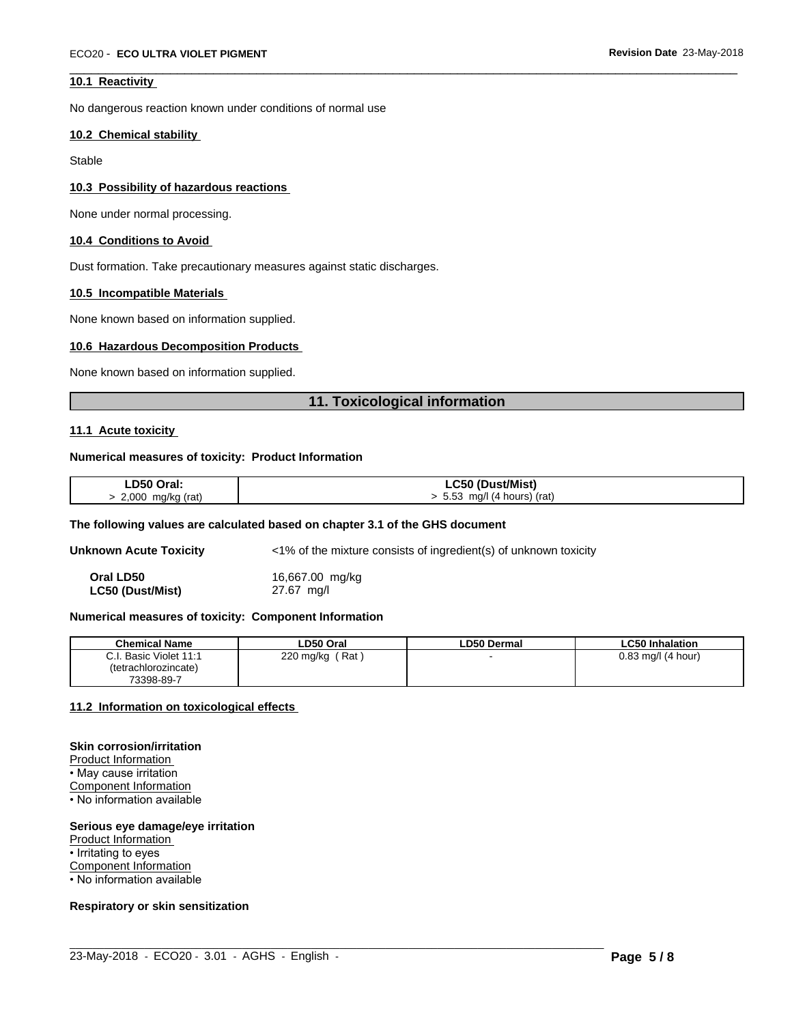# **10.1 Reactivity**

No dangerous reaction known under conditions of normal use

#### **10.2 Chemical stability**

**Stable** 

#### **10.3 Possibility of hazardous reactions**

None under normal processing.

# **10.4 Conditions to Avoid**

Dust formation. Take precautionary measures against static discharges.

#### **10.5 Incompatible Materials**

None known based on information supplied.

#### **10.6 Hazardous Decomposition Products**

None known based on information supplied.

# **11. Toxicological information**

 $\overline{\phantom{a}}$  ,  $\overline{\phantom{a}}$  ,  $\overline{\phantom{a}}$  ,  $\overline{\phantom{a}}$  ,  $\overline{\phantom{a}}$  ,  $\overline{\phantom{a}}$  ,  $\overline{\phantom{a}}$  ,  $\overline{\phantom{a}}$  ,  $\overline{\phantom{a}}$  ,  $\overline{\phantom{a}}$  ,  $\overline{\phantom{a}}$  ,  $\overline{\phantom{a}}$  ,  $\overline{\phantom{a}}$  ,  $\overline{\phantom{a}}$  ,  $\overline{\phantom{a}}$  ,  $\overline{\phantom{a}}$ 

# **11.1 Acute toxicity**

#### **Numerical measures of toxicity: Product Information**

| LD50 Oral:          | <b>LC50 (Dust/Mist)</b>       |
|---------------------|-------------------------------|
| > 2,000 mg/kg (rat) | $> 5.53$ mg/l (4 hours) (rat) |

#### **The following values are calculated based on chapter 3.1 of the GHS document**

**Unknown Acute Toxicity** <1% of the mixture consists of ingredient(s) of unknown toxicity

**Oral LD50** 16,667.00 mg/kg

**LC50 (Dust/Mist)** 27.67 mg/l

## **Numerical measures of toxicity: Component Information**

| <b>Chemical Name</b>   | LD50 Oral        | <b>LD50 Dermal</b> | <b>LC50 Inhalation</b> |
|------------------------|------------------|--------------------|------------------------|
| C.I. Basic Violet 11:1 | Rat<br>220 mg/kg |                    | $0.83$ mg/l (4 hour)   |
| (tetrachlorozincate)   |                  |                    |                        |
| 73398-89-7             |                  |                    |                        |

#### **11.2 Information on toxicologicaleffects**

#### **Skin corrosion/irritation**

Product Information

• May cause irritation Component Information • No information available

## **Serious eye damage/eye irritation**

Product Information • Irritating to eyes Component Information • No information available

#### **Respiratory or skin sensitization**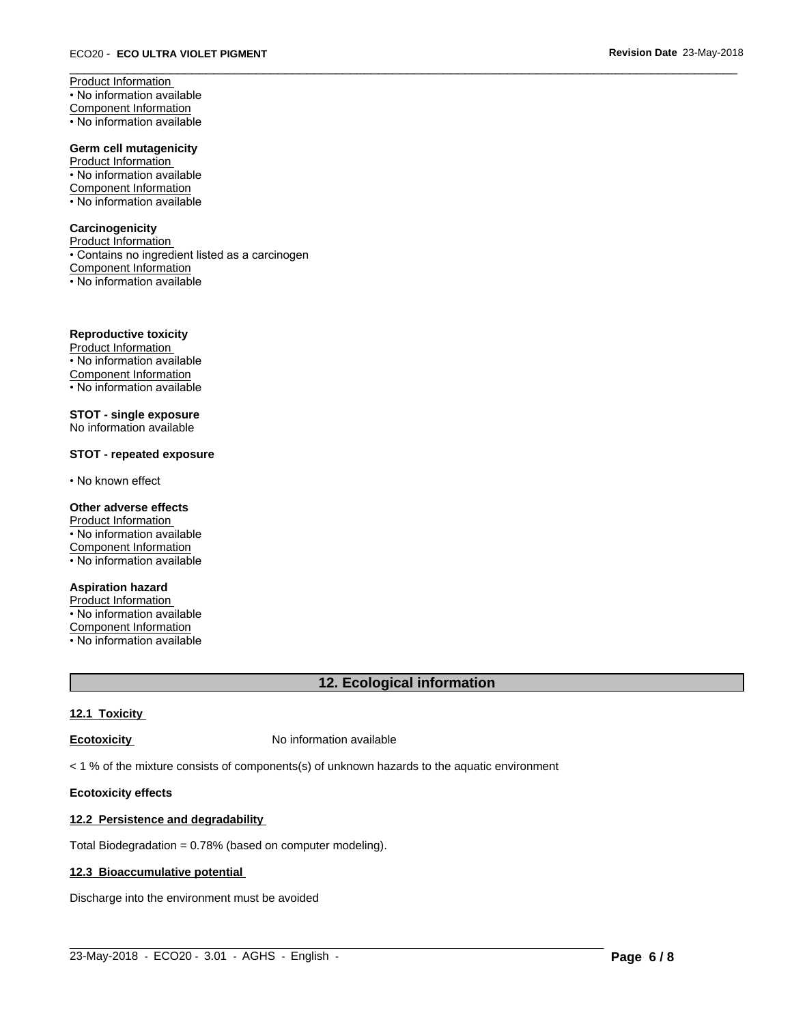Product Information • No information available Component Information • No information available

**Germ cell mutagenicity** Product Information • No information available

Component Information

• No information available

# **Carcinogenicity**

Product Information • Contains no ingredient listed as a carcinogen Component Information • No information available

**Reproductive toxicity**

Product Information • No information available Component Information • No information available

**STOT - single exposure** No information available

# **STOT - repeated exposure**

• No known effect

# **Other adverse effects**

Product Information • No information available Component Information • No information available

# **Aspiration hazard**

Product Information • No information available Component Information • No information available

# **12. Ecological information**

 $\overline{\phantom{a}}$  ,  $\overline{\phantom{a}}$  ,  $\overline{\phantom{a}}$  ,  $\overline{\phantom{a}}$  ,  $\overline{\phantom{a}}$  ,  $\overline{\phantom{a}}$  ,  $\overline{\phantom{a}}$  ,  $\overline{\phantom{a}}$  ,  $\overline{\phantom{a}}$  ,  $\overline{\phantom{a}}$  ,  $\overline{\phantom{a}}$  ,  $\overline{\phantom{a}}$  ,  $\overline{\phantom{a}}$  ,  $\overline{\phantom{a}}$  ,  $\overline{\phantom{a}}$  ,  $\overline{\phantom{a}}$ 

# **12.1 Toxicity**

**Ecotoxicity No information available** 

 $<$  1 % of the mixture consists of components(s) of unknown hazards to the aquatic environment

# **Ecotoxicity effects**

# **12.2 Persistence and degradability**

Total Biodegradation = 0.78% (based on computer modeling).

# **12.3 Bioaccumulative potential**

Discharge into the environment must be avoided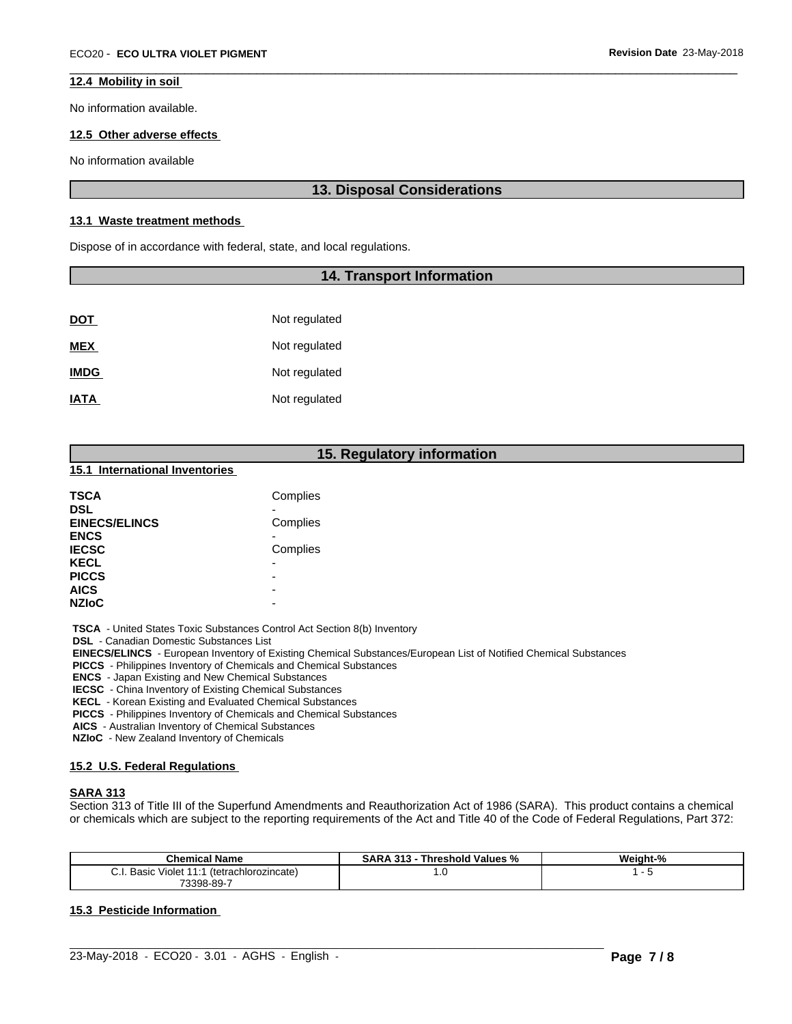# **12.4 Mobility in soil**

No information available.

# **12.5 Other adverse effects**

No information available

# **13. Disposal Considerations**

 $\overline{\phantom{a}}$  ,  $\overline{\phantom{a}}$  ,  $\overline{\phantom{a}}$  ,  $\overline{\phantom{a}}$  ,  $\overline{\phantom{a}}$  ,  $\overline{\phantom{a}}$  ,  $\overline{\phantom{a}}$  ,  $\overline{\phantom{a}}$  ,  $\overline{\phantom{a}}$  ,  $\overline{\phantom{a}}$  ,  $\overline{\phantom{a}}$  ,  $\overline{\phantom{a}}$  ,  $\overline{\phantom{a}}$  ,  $\overline{\phantom{a}}$  ,  $\overline{\phantom{a}}$  ,  $\overline{\phantom{a}}$ 

## **13.1 Waste treatment methods**

Dispose of in accordance with federal, state, and local regulations.

# **14. Transport Information**

| <u>DOT</u>  | Not regulated |
|-------------|---------------|
| <b>MEX</b>  | Not regulated |
| <b>IMDG</b> | Not regulated |
| <b>IATA</b> | Not regulated |

# **15. Regulatory information**

#### **15.1 International Inventories**

| TSCA                 | Complies |
|----------------------|----------|
| <b>DSL</b>           |          |
| <b>EINECS/ELINCS</b> | Complies |
| <b>ENCS</b>          |          |
| <b>IECSC</b>         | Complies |
| <b>KECL</b>          | -        |
| <b>PICCS</b>         | -        |
| <b>AICS</b>          | -        |
| <b>NZIoC</b>         | -        |

 **TSCA** - United States Toxic Substances Control Act Section 8(b) Inventory

 **DSL** - Canadian Domestic Substances List

 **EINECS/ELINCS** - European Inventory of Existing Chemical Substances/European List of Notified Chemical Substances

 **PICCS** - Philippines Inventory of Chemicals and Chemical Substances

 **ENCS** - Japan Existing and New Chemical Substances

 **IECSC** - China Inventory of Existing Chemical Substances

 **KECL** - Korean Existing and Evaluated Chemical Substances

 **PICCS** - Philippines Inventory of Chemicals and Chemical Substances

 **AICS** - Australian Inventory of Chemical Substances

 **NZIoC** - New Zealand Inventory of Chemicals

#### **15.2 U.S. Federal Regulations**

# **SARA 313**

Section 313 of Title III of the Superfund Amendments and Reauthorization Act of 1986 (SARA). This product contains a chemical or chemicals which are subject to the reporting requirements of the Act and Title 40 of the Code of Federal Regulations, Part 372:

| <b>Chemical Name</b>                                                  | <b>SARA 313 -</b><br>Threshold Values % | Weight-% |
|-----------------------------------------------------------------------|-----------------------------------------|----------|
| $\sim$<br>Basic<br>(tetrachlorozincate)<br>. Violet 11:1<br>U.I.<br>. | $\cdot \cdot$                           |          |
| 73398-89-7                                                            |                                         |          |

 $\_$  ,  $\_$  ,  $\_$  ,  $\_$  ,  $\_$  ,  $\_$  ,  $\_$  ,  $\_$  ,  $\_$  ,  $\_$  ,  $\_$  ,  $\_$  ,  $\_$  ,  $\_$  ,  $\_$  ,  $\_$  ,  $\_$  ,  $\_$  ,  $\_$  ,  $\_$  ,  $\_$  ,  $\_$  ,  $\_$  ,  $\_$  ,  $\_$  ,  $\_$  ,  $\_$  ,  $\_$  ,  $\_$  ,  $\_$  ,  $\_$  ,  $\_$  ,  $\_$  ,  $\_$  ,  $\_$  ,  $\_$  ,  $\_$  ,

# **15.3 Pesticide Information**